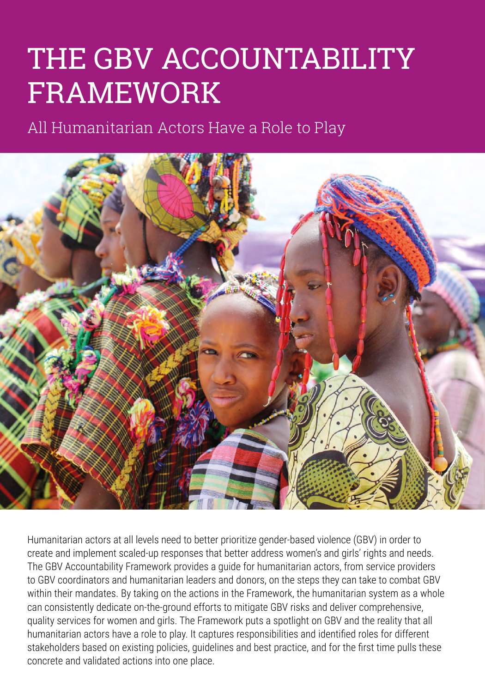# THE GBV ACCOUNTABILITY FRAMEWORK

All Humanitarian Actors Have a Role to Play



Humanitarian actors at all levels need to better prioritize gender-based violence (GBV) in order to create and implement scaled‐up responses that better address women's and girls' rights and needs. The GBV Accountability Framework provides a guide for humanitarian actors, from service providers to GBV coordinators and humanitarian leaders and donors, on the steps they can take to combat GBV within their mandates. By taking on the actions in the Framework, the humanitarian system as a whole can consistently dedicate on-the-ground efforts to mitigate GBV risks and deliver comprehensive, quality services for women and girls. The Framework puts a spotlight on GBV and the reality that all humanitarian actors have a role to play. It captures responsibilities and identified roles for different stakeholders based on existing policies, guidelines and best practice, and for the first time pulls these concrete and validated actions into one place.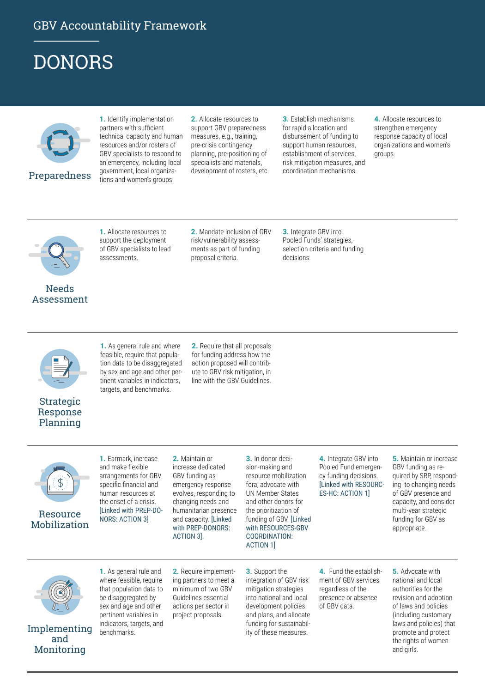### GBV Accountability Framework

### DONORS



**1.** Identify implementation partners with sufficient technical capacity and human resources and/or rosters of GBV specialists to respond to an emergency, including local government, local organizations and women's groups.

**2.** Allocate resources to support GBV preparedness measures, e.g., training, pre-crisis contingency planning, pre-positioning of specialists and materials, development of rosters, etc.

**3.** Establish mechanisms for rapid allocation and disbursement of funding to support human resources, establishment of services, risk mitigation measures, and coordination mechanisms.

**4.** Allocate resources to strengthen emergency response capacity of local organizations and women's groups.



#### Needs Assessment

**1.** Allocate resources to support the deployment of GBV specialists to lead assessments.

**2.** Mandate inclusion of GBV risk/vulnerability assessments as part of funding proposal criteria.

**3.** Integrate GBV into Pooled Funds' strategies, selection criteria and funding decisions.





**1.** As general rule and where feasible, require that population data to be disaggregated by sex and age and other pertinent variables in indicators, targets, and benchmarks.

**2.** Require that all proposals for funding address how the action proposed will contribute to GBV risk mitigation, in line with the GBV Guidelines.



Resource Mobilization

**1.** Earmark, increase and make flexible arrangements for GBV specific financial and human resources at the onset of a crisis. [Linked with PREP-DO-NORS: ACTION 3]

**2.** Maintain or increase dedicated GBV funding as emergency response evolves, responding to changing needs and humanitarian presence and capacity. [Linked with PREP-DONORS: ACTION 3].

**3.** In donor decision-making and resource mobilization fora, advocate with UN Member States and other donors for the prioritization of funding of GBV. [Linked with RESOURCES-GBV COORDINATION: ACTION 1]

**4.** Integrate GBV into Pooled Fund emergency funding decisions. [Linked with RESOURC-ES-HC: ACTION 1]

**5.** Maintain or increase GBV funding as required by SRP, responding to changing needs of GBV presence and capacity, and consider multi-year strategic funding for GBV as appropriate.



Implementing and Monitoring

**1.** As general rule and where feasible, require that population data to be disaggregated by sex and age and other pertinent variables in indicators, targets, and benchmarks.

**2.** Require implementing partners to meet a minimum of two GBV Guidelines essential actions per sector in project proposals.

**3.** Support the integration of GBV risk mitigation strategies into national and local development policies and plans, and allocate funding for sustainability of these measures.

**4.** Fund the establishment of GBV services regardless of the presence or absence of GBV data.

**5.** Advocate with national and local authorities for the revision and adoption of laws and policies (including customary laws and policies) that promote and protect the rights of women and girls.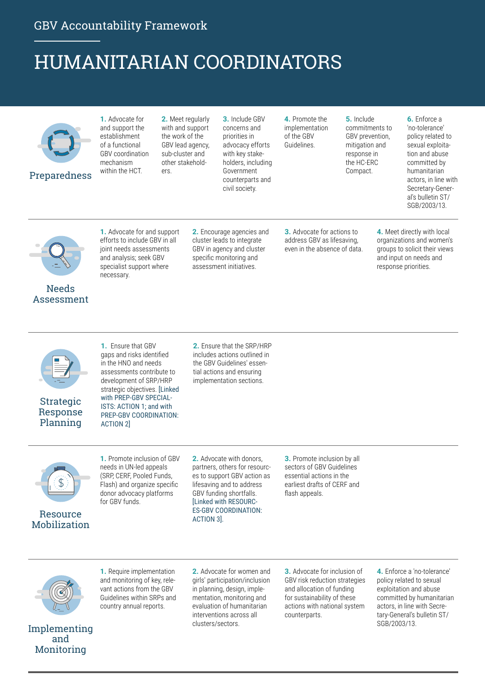### HUMANITARIAN COORDINATORS

| Preparedness               | <b>1.</b> Advocate for<br>and support the<br>establishment<br>of a functional<br>GBV coordination<br>mechanism<br>within the HCT.                                  | 2. Meet regularly<br>with and support<br>the work of the<br>GBV lead agency,<br>sub-cluster and<br>other stakehold-<br>ers. |                                                                                                                                            | 3. Include GBV<br>concerns and<br>priorities in<br>advocacy efforts<br>with key stake-<br>holders, including<br>Government<br>counterparts and<br>civil society. | 4. Promote the<br>implementation<br>of the GBV<br>Guidelines.                                   | 5. Include<br>commitments to<br>GBV prevention,<br>mitigation and<br>response in<br>the HC-ERC<br>Compact. | 6. Enforce a<br>'no-tolerance'<br>policy related to<br>sexual exploita-<br>tion and abuse<br>committed by<br>humanitarian<br>actors, in line with<br>Secretary-Gener-<br>al's bulletin ST/<br>SGB/2003/13. |
|----------------------------|--------------------------------------------------------------------------------------------------------------------------------------------------------------------|-----------------------------------------------------------------------------------------------------------------------------|--------------------------------------------------------------------------------------------------------------------------------------------|------------------------------------------------------------------------------------------------------------------------------------------------------------------|-------------------------------------------------------------------------------------------------|------------------------------------------------------------------------------------------------------------|------------------------------------------------------------------------------------------------------------------------------------------------------------------------------------------------------------|
| <b>Needs</b><br>Assessment | <b>1.</b> Advocate for and support<br>efforts to include GBV in all<br>joint needs assessments<br>and analysis; seek GBV<br>specialist support where<br>necessary. |                                                                                                                             | 2. Encourage agencies and<br>cluster leads to integrate<br>GBV in agency and cluster<br>specific monitoring and<br>assessment initiatives. |                                                                                                                                                                  | <b>3.</b> Advocate for actions to<br>address GBV as lifesaving,<br>even in the absence of data. |                                                                                                            | 4. Meet directly with local<br>organizations and women's<br>groups to solicit their views<br>and input on needs and<br>response priorities.                                                                |



Strategic Response Planning

**1.** Ensure that GBV gaps and risks identified in the HNO and needs assessments contribute to development of SRP/HRP strategic objectives. [Linked with PREP-GBV SPECIAL-ISTS: ACTION 1; and with PREP-GBV COORDINATION: ACTION 2]

**2.** Ensure that the SRP/HRP includes actions outlined in the GBV Guidelines' essential actions and ensuring implementation sections.

Resource Mobilization



**2.** Advocate with donors, partners, others for resources to support GBV action as lifesaving and to address GBV funding shortfalls. [Linked with RESOURC-ES-GBV COORDINATION: ACTION 3].

**3.** Promote inclusion by all sectors of GBV Guidelines essential actions in the earliest drafts of CERF and flash appeals.



**1.** Require implementation and monitoring of key, relevant actions from the GBV Guidelines within SRPs and country annual reports.

**2.** Advocate for women and girls' participation/inclusion in planning, design, implementation, monitoring and evaluation of humanitarian interventions across all clusters/sectors.

**3.** Advocate for inclusion of GBV risk reduction strategies and allocation of funding for sustainability of these actions with national system counterparts.

**4.** Enforce a 'no-tolerance' policy related to sexual exploitation and abuse committed by humanitarian actors, in line with Secretary-General's bulletin ST/ SGB/2003/13.

#### Implementing and Monitoring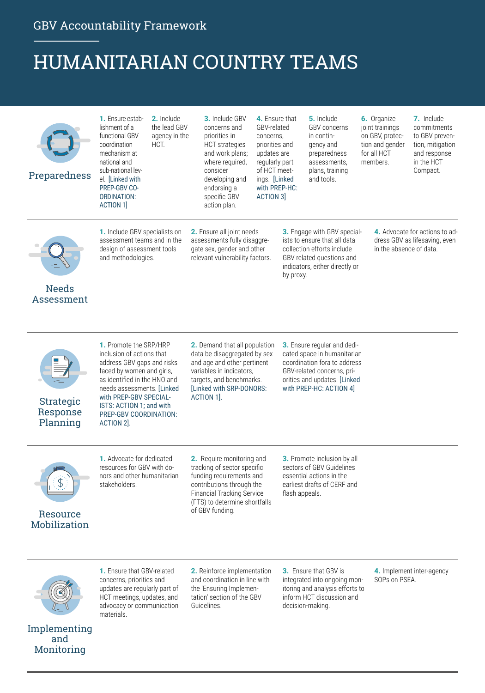### HUMANITARIAN COUNTRY TEAMS

| Preparedness                      | 1. Ensure estab-<br>2. Include<br>the lead GBV<br>lishment of a<br>functional GBV<br>agency in the<br>coordination<br>HCT.<br>mechanism at<br>national and<br>sub-national lev-<br>el. [Linked with<br>PREP-GBV CO-<br><b>ORDINATION:</b><br><b>ACTION 1]</b>               | 3. Include GBV<br>concerns and<br>priorities in<br><b>HCT</b> strategies<br>and work plans;<br>where required,<br>consider<br>developing and<br>endorsing a<br>specific GBV<br>action plan.                | 4. Ensure that<br>GBV-related<br>concerns,<br>priorities and<br>updates are<br>regularly part<br>of HCT meet-<br>ings. [Linked]<br>with PREP-HC:<br>ACTION 3 |                                                                                                                                                                                     | 5. Include<br><b>GBV</b> concerns<br>in contin-<br>gency and<br>preparedness<br>assessments,<br>plans, training<br>and tools.             | 6. Organize<br>joint trainings<br>on GBV, protec-<br>tion and gender<br>for all HCT<br>members. | 7. Include<br>commitments<br>to GBV preven-<br>tion, mitigation<br>and response<br>in the HCT<br>Compact. |
|-----------------------------------|-----------------------------------------------------------------------------------------------------------------------------------------------------------------------------------------------------------------------------------------------------------------------------|------------------------------------------------------------------------------------------------------------------------------------------------------------------------------------------------------------|--------------------------------------------------------------------------------------------------------------------------------------------------------------|-------------------------------------------------------------------------------------------------------------------------------------------------------------------------------------|-------------------------------------------------------------------------------------------------------------------------------------------|-------------------------------------------------------------------------------------------------|-----------------------------------------------------------------------------------------------------------|
| <b>Needs</b><br>Assessment        | 1. Include GBV specialists on<br>assessment teams and in the<br>design of assessment tools<br>and methodologies.                                                                                                                                                            | 2. Ensure all joint needs<br>assessments fully disaggre-<br>gate sex, gender and other<br>relevant vulnerability factors.                                                                                  |                                                                                                                                                              | 3. Engage with GBV special-<br>ists to ensure that all data<br>collection efforts include<br>GBV related questions and<br>indicators, either directly or<br>by proxy.               |                                                                                                                                           | 4. Advocate for actions to ad-<br>dress GBV as lifesaving, even<br>in the absence of data.      |                                                                                                           |
| Strategic<br>Response<br>Planning | 1. Promote the SRP/HRP<br>inclusion of actions that<br>address GBV gaps and risks<br>faced by women and girls,<br>as identified in the HNO and<br>needs assessments. [Linked]<br>with PREP-GBV SPECIAL-<br>ISTS: ACTION 1; and with<br>PREP-GBV COORDINATION:<br>ACTION 2]. | 2. Demand that all population<br>data be disaggregated by sex<br>and age and other pertinent<br>variables in indicators.<br>targets, and benchmarks.<br><b>ILinked with SRP-DONORS:</b><br>ACTION 1.       |                                                                                                                                                              | 3. Ensure regular and dedi-<br>cated space in humanitarian<br>coordination fora to address<br>GBV-related concerns, pri-<br>orities and updates. [Linked<br>with PREP-HC: ACTION 4] |                                                                                                                                           |                                                                                                 |                                                                                                           |
| Resource<br>Mobilization          | 1. Advocate for dedicated<br>resources for GBV with do-<br>nors and other humanitarian<br>stakeholders.                                                                                                                                                                     | 2. Require monitoring and<br>tracking of sector specific<br>funding requirements and<br>contributions through the<br><b>Financial Tracking Service</b><br>(FTS) to determine shortfalls<br>of GBV funding. |                                                                                                                                                              | flash appeals.                                                                                                                                                                      | 3. Promote inclusion by all<br>sectors of GBV Guidelines<br>essential actions in the<br>earliest drafts of CERF and                       |                                                                                                 |                                                                                                           |
|                                   | 1. Ensure that GBV-related<br>concerns, priorities and<br>updates are regularly part of<br>HCT meetings, updates, and<br>advocacy or communication<br>materials.                                                                                                            | 2. Reinforce implementation<br>and coordination in line with<br>the 'Ensuring Implemen-<br>tation' section of the GBV<br>Guidelines.                                                                       |                                                                                                                                                              |                                                                                                                                                                                     | 3. Ensure that GBV is<br>integrated into ongoing mon-<br>itoring and analysis efforts to<br>inform HCT discussion and<br>decision-making. | SOPs on PSEA.                                                                                   | 4. Implement inter-agency                                                                                 |

Implementing and Monitoring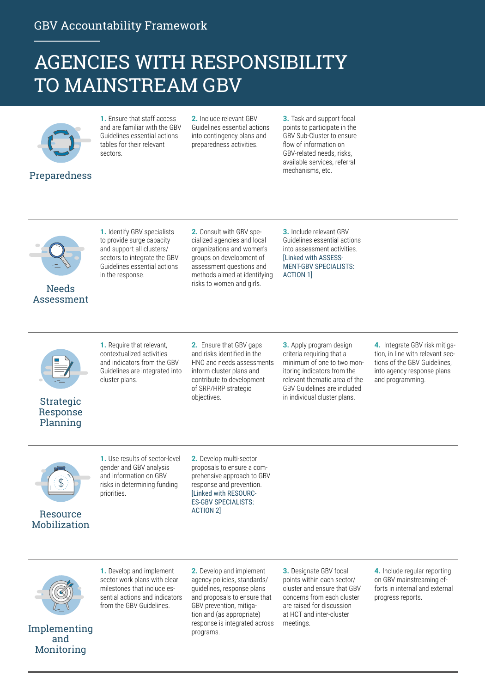### AGENCIES WITH RESPONSIBILITY TO MAINSTREAM GBV



Preparedness

**1.** Ensure that staff access and are familiar with the GBV Guidelines essential actions tables for their relevant sectors.

**2.** Include relevant GBV Guidelines essential actions into contingency plans and preparedness activities.

**3.** Task and support focal points to participate in the GBV Sub-Cluster to ensure flow of information on GBV-related needs, risks, available services, referral mechanisms, etc.



#### Needs Assessment

**1.** Identify GBV specialists to provide surge capacity and support all clusters/ sectors to integrate the GBV Guidelines essential actions in the response.

**2.** Consult with GBV specialized agencies and local organizations and women's groups on development of assessment questions and methods aimed at identifying risks to women and girls.

**3.** Include relevant GBV Guidelines essential actions into assessment activities. [Linked with ASSESS-MENT-GBV SPECIALISTS: ACTION 1]



#### **Strategic** Response Planning

**1.** Require that relevant, contextualized activities and indicators from the GBV Guidelines are integrated into cluster plans.

**2.** Ensure that GBV gaps and risks identified in the HNO and needs assessments inform cluster plans and contribute to development of SRP/HRP strategic objectives.

**3.** Apply program design criteria requiring that a minimum of one to two monitoring indicators from the relevant thematic area of the GBV Guidelines are included in individual cluster plans.

**4.** Integrate GBV risk mitigation, in line with relevant sections of the GBV Guidelines, into agency response plans and programming.





**1.** Use results of sector-level gender and GBV analysis and information on GBV risks in determining funding priorities.

**2.** Develop multi-sector proposals to ensure a comprehensive approach to GBV response and prevention. [Linked with RESOURC-ES-GBV SPECIALISTS: ACTION 2]



Implementing and Monitoring

**1.** Develop and implement sector work plans with clear milestones that include essential actions and indicators from the GBV Guidelines.

**2.** Develop and implement agency policies, standards/ guidelines, response plans and proposals to ensure that GBV prevention, mitigation and (as appropriate) response is integrated across programs.

**3.** Designate GBV focal points within each sector/ cluster and ensure that GBV concerns from each cluster are raised for discussion at HCT and inter-cluster meetings.

**4.** Include regular reporting on GBV mainstreaming efforts in internal and external progress reports.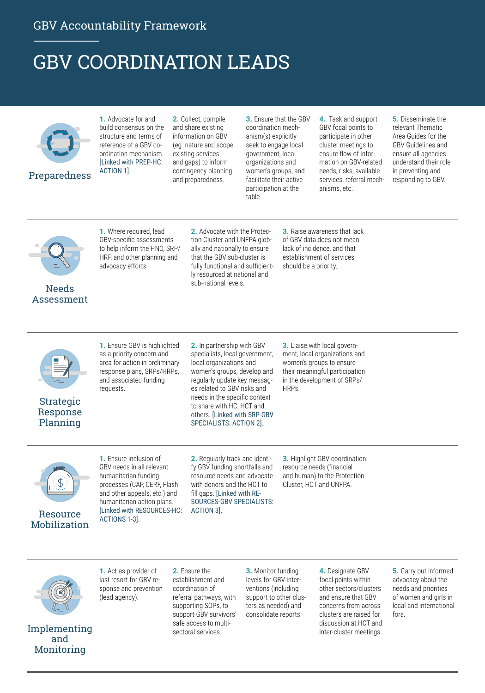## GBV COORDINATION LEADS



**1.** Advocate for and build consensus on the structure and terms of reference of a GBV coordination mechanism. [Linked with PREP-HC: ACTION 1].

**2.** Collect, compile and share existing information on GBV (eg. nature and scope, existing services and gaps) to inform contingency planning and preparedness.

**3.** Ensure that the GBV coordination mechanism(s) explicitly seek to engage local government, local organizations and women's groups, and facilitate their active participation at the table.

**4.** Task and support GBV focal points to participate in other cluster meetings to ensure flow of information on GBV-related needs, risks, available services, referral mechanisms, etc.

**5.** Disseminate the relevant Thematic Area Guides for the GBV Guidelines and ensure all agencies understand their role in preventing and responding to GBV.



#### Needs Assessment

**1.** Where required, lead GBV-specific assessments to help inform the HNO, SRP/ HRP, and other planning and advocacy efforts.

**2.** Advocate with the Protection Cluster and UNFPA globally and nationally to ensure that the GBV sub-cluster is fully functional and sufficiently resourced at national and sub-national levels.

**3.** Raise awareness that lack of GBV data does not mean lack of incidence, and that establishment of services should be a priority.

requests.

Strategic Response Planning

**1.** Ensure GBV is highlighted as a priority concern and area for action in preliminary response plans, SRPs/HRPs, and associated funding

**2.** In partnership with GBV specialists, local government, local organizations and women's groups, develop and regularly update key messages related to GBV risks and needs in the specific context to share with HC, HCT and others. [Linked with SRP-GBV SPECIALISTS: ACTION 2].

**3.** Liaise with local government, local organizations and women's groups to ensure their meaningful participation in the development of SRPs/ HRPs.



Resource Mobilization

**1.** Ensure inclusion of GBV needs in all relevant humanitarian funding processes (CAP, CERF, Flash and other appeals, etc.) and humanitarian action plans. [Linked with RESOURCES-HC: ACTIONS 1-3].

**2.** Regularly track and identify GBV funding shortfalls and resource needs and advocate with donors and the HCT to fill gaps. [Linked with RE-SOURCES-GBV SPECIALISTS: ACTION 3].

**3.** Highlight GBV coordination resource needs (financial and human) to the Protection Cluster, HCT and UNFPA.



Implementing and Monitoring

**1.** Act as provider of last resort for GBV response and prevention (lead agency).

**2.** Ensure the establishment and coordination of referral pathways, with supporting SOPs, to support GBV survivors' safe access to multisectoral services.

**3.** Monitor funding levels for GBV interventions (including support to other clusters as needed) and consolidate reports.

**4.** Designate GBV focal points within other sectors/clusters and ensure that GBV concerns from across clusters are raised for discussion at HCT and inter-cluster meetings.

**5.** Carry out informed advocacy about the needs and priorities of women and girls in local and international fora.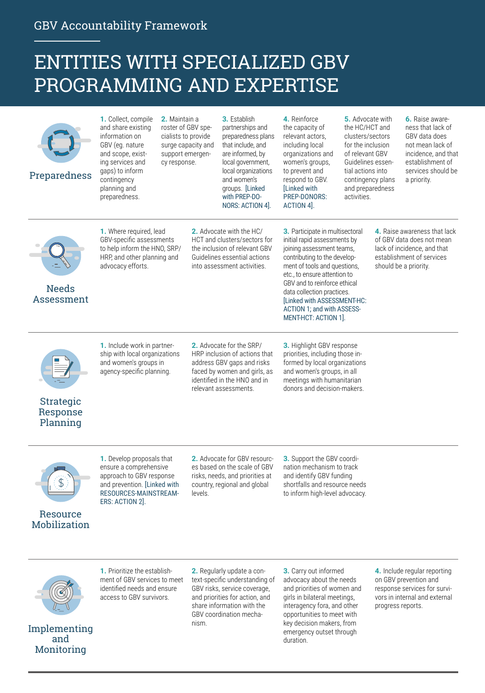### ENTITIES WITH SPECIALIZED GBV PROGRAMMING AND EXPERTISE

| Preparedness                      | 1. Collect, compile<br>and share existing<br>information on<br>GBV (eq. nature<br>and scope, exist-<br>ing services and<br>qaps) to inform<br>contingency<br>planning and<br>preparedness.                                                                                                          | 2. Maintain a<br>roster of GBV spe-<br>cialists to provide<br>surge capacity and<br>support emergen-<br>cy response. |         | 3. Establish<br>partnerships and<br>preparedness plans<br>that include, and<br>are informed, by<br>local government,<br>local organizations<br>and women's<br>groups. [Linked<br>with PREP-DO-<br>NORS: ACTION 4].                                                                                                                                     | 4. Reinforce<br>the capacity of<br>relevant actors,<br>including local<br>organizations and<br>women's groups,<br>to prevent and<br>respond to GBV.<br>[Linked with<br><b>PREP-DONORS:</b><br>ACTION 4]. | 5. Advocate with<br>the HC/HCT and<br>clusters/sectors<br>for the inclusion<br>of relevant GBV<br>Guidelines essen-<br>tial actions into<br>contingency plans<br>and preparedness<br>activities. |  | 6. Raise aware-<br>ness that lack of<br>GBV data does<br>not mean lack of<br>incidence, and that<br>establishment of<br>services should be<br>a priority. |
|-----------------------------------|-----------------------------------------------------------------------------------------------------------------------------------------------------------------------------------------------------------------------------------------------------------------------------------------------------|----------------------------------------------------------------------------------------------------------------------|---------|--------------------------------------------------------------------------------------------------------------------------------------------------------------------------------------------------------------------------------------------------------------------------------------------------------------------------------------------------------|----------------------------------------------------------------------------------------------------------------------------------------------------------------------------------------------------------|--------------------------------------------------------------------------------------------------------------------------------------------------------------------------------------------------|--|-----------------------------------------------------------------------------------------------------------------------------------------------------------|
| <b>Needs</b><br>Assessment        | 2. Advocate with the HC/<br>1. Where required, lead<br>GBV-specific assessments<br>HCT and clusters/sectors for<br>to help inform the HNO, SRP/<br>the inclusion of relevant GBV<br>HRP, and other planning and<br>Guidelines essential actions<br>advocacy efforts.<br>into assessment activities. |                                                                                                                      |         | 3. Participate in multisectoral<br>initial rapid assessments by<br>joining assessment teams,<br>contributing to the develop-<br>ment of tools and questions.<br>etc., to ensure attention to<br>GBV and to reinforce ethical<br>data collection practices.<br>[Linked with ASSESSMENT-HC:<br>ACTION 1; and with ASSESS-<br><b>MENT-HCT: ACTION 1].</b> |                                                                                                                                                                                                          | 4. Raise awareness that lack<br>of GBV data does not mean<br>lack of incidence, and that<br>establishment of services<br>should be a priority.                                                   |  |                                                                                                                                                           |
| Strategic<br>Response<br>Planning | 1. Include work in partner-<br>ship with local organizations<br>and women's groups in<br>agency-specific planning.                                                                                                                                                                                  |                                                                                                                      |         | 2. Advocate for the SRP/<br>HRP inclusion of actions that<br>address GBV gaps and risks<br>faced by women and girls, as<br>identified in the HNO and in<br>relevant assessments.                                                                                                                                                                       | <b>3.</b> Highlight GBV response<br>priorities, including those in-<br>formed by local organizations<br>and women's groups, in all<br>meetings with humanitarian<br>donors and decision-makers.          |                                                                                                                                                                                                  |  |                                                                                                                                                           |
| Resource<br>Mobilization          | 1. Develop proposals that<br>ensure a comprehensive<br>approach to GBV response<br>and prevention. [Linked with<br>RESOURCES-MAINSTREAM-<br>ERS: ACTION 2].                                                                                                                                         |                                                                                                                      | levels. | 2. Advocate for GBV resourc-<br>es based on the scale of GBV<br>risks, needs, and priorities at<br>country, regional and global                                                                                                                                                                                                                        | 3. Support the GBV coordi-<br>nation mechanism to track<br>and identify GBV funding<br>shortfalls and resource needs<br>to inform high-level advocacy.                                                   |                                                                                                                                                                                                  |  |                                                                                                                                                           |



Implementing and Monitoring

**1.** Prioritize the establishment of GBV services to meet identified needs and ensure access to GBV survivors.

**2.** Regularly update a context-specific understanding of GBV risks, service coverage, and priorities for action, and share information with the GBV coordination mechanism.

**3.** Carry out informed advocacy about the needs and priorities of women and girls in bilateral meetings, interagency fora, and other opportunities to meet with key decision makers, from emergency outset through duration.

**4.** Include regular reporting on GBV prevention and response services for survivors in internal and external progress reports.